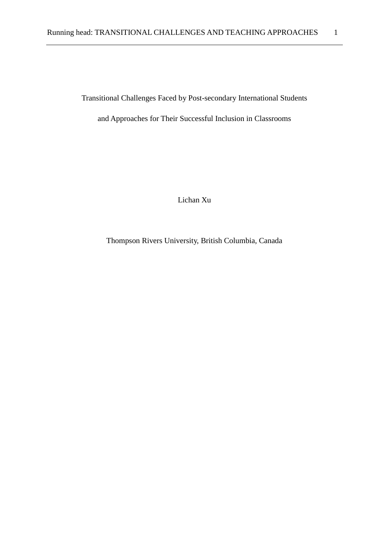Transitional Challenges Faced by Post-secondary International Students

and Approaches for Their Successful Inclusion in Classrooms

Lichan Xu

Thompson Rivers University, British Columbia, Canada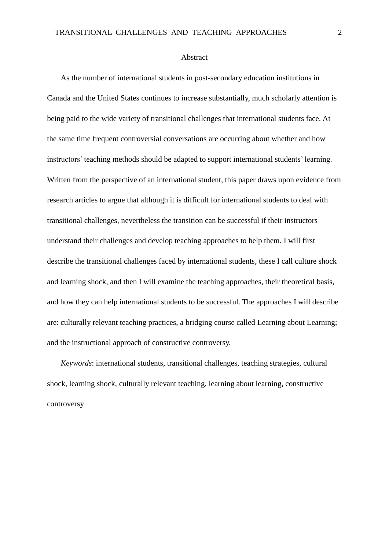# Abstract

As the number of international students in post-secondary education institutions in Canada and the United States continues to increase substantially, much scholarly attention is being paid to the wide variety of transitional challenges that international students face. At the same time frequent controversial conversations are occurring about whether and how instructors' teaching methods should be adapted to support international students' learning. Written from the perspective of an international student, this paper draws upon evidence from research articles to argue that although it is difficult for international students to deal with transitional challenges, nevertheless the transition can be successful if their instructors understand their challenges and develop teaching approaches to help them. I will first describe the transitional challenges faced by international students, these I call culture shock and learning shock, and then I will examine the teaching approaches, their theoretical basis, and how they can help international students to be successful. The approaches I will describe are: culturally relevant teaching practices, a bridging course called Learning about Learning; and the instructional approach of constructive controversy.

*Keywords*: international students, transitional challenges, teaching strategies, cultural shock, learning shock, culturally relevant teaching, learning about learning, constructive controversy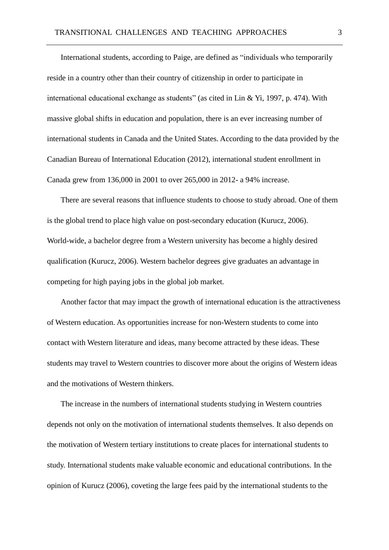International students, according to Paige, are defined as "individuals who temporarily reside in a country other than their country of citizenship in order to participate in international educational exchange as students" (as cited in Lin & Yi, 1997, p. 474). With massive global shifts in education and population, there is an ever increasing number of international students in Canada and the United States. According to the data provided by the Canadian Bureau of International Education (2012), international student enrollment in Canada grew from 136,000 in 2001 to over 265,000 in 2012- a 94% increase.

There are several reasons that influence students to choose to study abroad. One of them is the global trend to place high value on post-secondary education (Kurucz, 2006). World-wide, a bachelor degree from a Western university has become a highly desired qualification (Kurucz, 2006). Western bachelor degrees give graduates an advantage in competing for high paying jobs in the global job market.

Another factor that may impact the growth of international education is the attractiveness of Western education. As opportunities increase for non-Western students to come into contact with Western literature and ideas, many become attracted by these ideas. These students may travel to Western countries to discover more about the origins of Western ideas and the motivations of Western thinkers.

The increase in the numbers of international students studying in Western countries depends not only on the motivation of international students themselves. It also depends on the motivation of Western tertiary institutions to create places for international students to study. International students make valuable economic and educational contributions. In the opinion of Kurucz (2006), coveting the large fees paid by the international students to the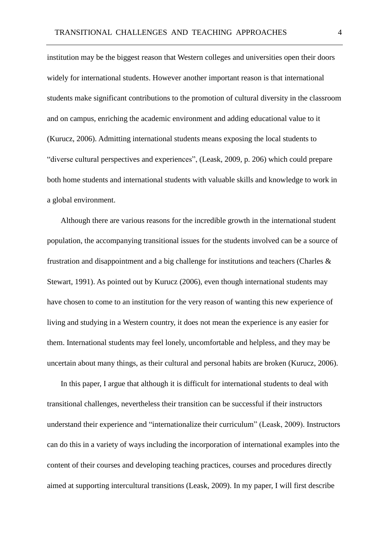institution may be the biggest reason that Western colleges and universities open their doors widely for international students. However another important reason is that international students make significant contributions to the promotion of cultural diversity in the classroom and on campus, enriching the academic environment and adding educational value to it (Kurucz, 2006). Admitting international students means exposing the local students to "diverse cultural perspectives and experiences", (Leask, 2009, p. 206) which could prepare both home students and international students with valuable skills and knowledge to work in a global environment.

Although there are various reasons for the incredible growth in the international student population, the accompanying transitional issues for the students involved can be a source of frustration and disappointment and a big challenge for institutions and teachers (Charles & Stewart, 1991). As pointed out by Kurucz (2006), even though international students may have chosen to come to an institution for the very reason of wanting this new experience of living and studying in a Western country, it does not mean the experience is any easier for them. International students may feel lonely, uncomfortable and helpless, and they may be uncertain about many things, as their cultural and personal habits are broken (Kurucz, 2006).

In this paper, I argue that although it is difficult for international students to deal with transitional challenges, nevertheless their transition can be successful if their instructors understand their experience and "internationalize their curriculum" (Leask, 2009). Instructors can do this in a variety of ways including the incorporation of international examples into the content of their courses and developing teaching practices, courses and procedures directly aimed at supporting intercultural transitions (Leask, 2009). In my paper, I will first describe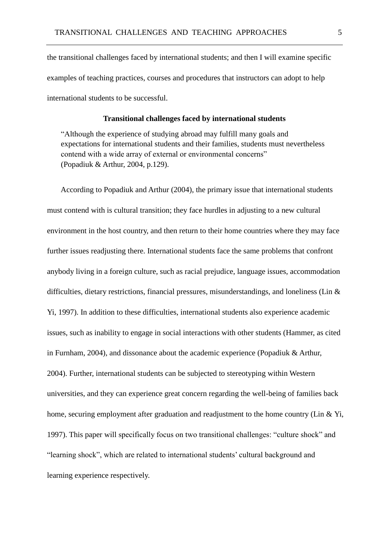the transitional challenges faced by international students; and then I will examine specific examples of teaching practices, courses and procedures that instructors can adopt to help international students to be successful.

# **Transitional challenges faced by international students**

"Although the experience of studying abroad may fulfill many goals and expectations for international students and their families, students must nevertheless contend with a wide array of external or environmental concerns" (Popadiuk & Arthur, 2004, p.129).

According to Popadiuk and Arthur (2004), the primary issue that international students must contend with is cultural transition; they face hurdles in adjusting to a new cultural environment in the host country, and then return to their home countries where they may face further issues readjusting there. International students face the same problems that confront anybody living in a foreign culture, such as racial prejudice, language issues, accommodation difficulties, dietary restrictions, financial pressures, misunderstandings, and loneliness (Lin & Yi, 1997). In addition to these difficulties, international students also experience academic issues, such as inability to engage in social interactions with other students (Hammer, as cited in Furnham, 2004), and dissonance about the academic experience (Popadiuk & Arthur, 2004). Further, international students can be subjected to stereotyping within Western universities, and they can experience great concern regarding the well-being of families back home, securing employment after graduation and readjustment to the home country (Lin & Yi, 1997). This paper will specifically focus on two transitional challenges: "culture shock" and "learning shock", which are related to international students' cultural background and learning experience respectively.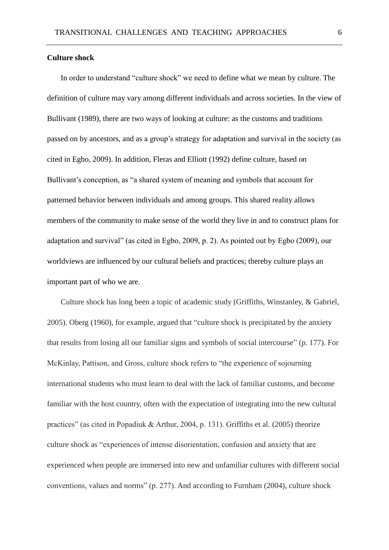# **Culture shock**

In order to understand "culture shock" we need to define what we mean by culture. The definition of culture may vary among different individuals and across societies. In the view of Bullivant (1989), there are two ways of looking at culture: as the customs and traditions passed on by ancestors, and as a group's strategy for adaptation and survival in the society (as cited in Egbo, 2009). In addition, Fleras and Elliott (1992) define culture, based on Bullivant's conception, as "a shared system of meaning and symbols that account for patterned behavior between individuals and among groups. This shared reality allows members of the community to make sense of the world they live in and to construct plans for adaptation and survival" (as cited in Egbo, 2009, p. 2). As pointed out by Egbo (2009), our worldviews are influenced by our cultural beliefs and practices; thereby culture plays an important part of who we are.

Culture shock has long been a topic of academic study (Griffiths, Winstanley, & Gabriel, 2005). Oberg (1960), for example, argued that "culture shock is precipitated by the anxiety that results from losing all our familiar signs and symbols of social intercourse" (p. 177). For McKinlay, Pattison, and Gross, culture shock refers to "the experience of sojourning international students who must learn to deal with the lack of familiar customs, and become familiar with the host country, often with the expectation of integrating into the new cultural practices" (as cited in Popadiuk & Arthur, 2004, p. 131). Griffiths et al. (2005) theorize culture shock as "experiences of intense disorientation, confusion and anxiety that are experienced when people are immersed into new and unfamiliar cultures with different social conventions, values and norms" (p. 277). And according to Furnham (2004), culture shock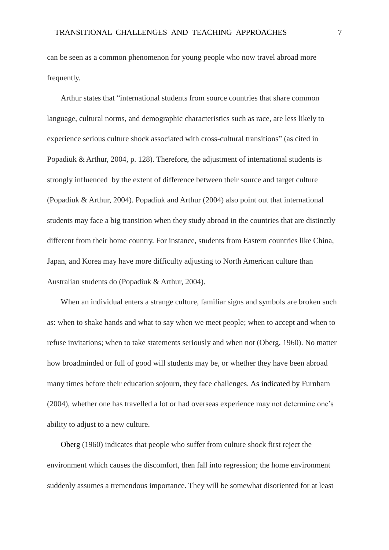can be seen as a common phenomenon for young people who now travel abroad more frequently.

Arthur states that "international students from source countries that share common language, cultural norms, and demographic characteristics such as race, are less likely to experience serious culture shock associated with cross-cultural transitions" (as cited in Popadiuk & Arthur, 2004, p. 128). Therefore, the adjustment of international students is strongly influenced by the extent of difference between their source and target culture (Popadiuk & Arthur, 2004). Popadiuk and Arthur (2004) also point out that international students may face a big transition when they study abroad in the countries that are distinctly different from their home country. For instance, students from Eastern countries like China, Japan, and Korea may have more difficulty adjusting to North American culture than Australian students do (Popadiuk & Arthur, 2004).

When an individual enters a strange culture, familiar signs and symbols are broken such as: when to shake hands and what to say when we meet people; when to accept and when to refuse invitations; when to take statements seriously and when not (Oberg, 1960). No matter how broadminded or full of good will students may be, or whether they have been abroad many times before their education sojourn, they face challenges. As indicated by Furnham (2004), whether one has travelled a lot or had overseas experience may not determine one's ability to adjust to a new culture.

Oberg (1960) indicates that people who suffer from culture shock first reject the environment which causes the discomfort, then fall into regression; the home environment suddenly assumes a tremendous importance. They will be somewhat disoriented for at least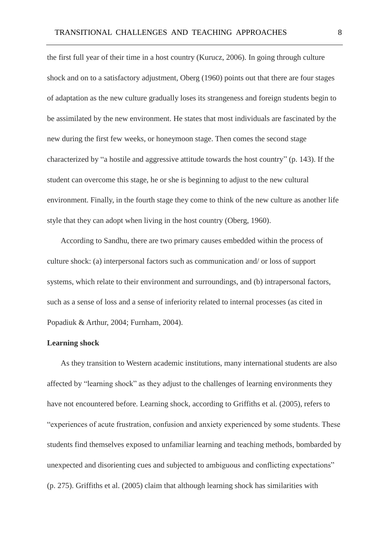the first full year of their time in a host country (Kurucz, 2006). In going through culture shock and on to a satisfactory adjustment, Oberg (1960) points out that there are four stages of adaptation as the new culture gradually loses its strangeness and foreign students begin to be assimilated by the new environment. He states that most individuals are fascinated by the new during the first few weeks, or honeymoon stage. Then comes the second stage characterized by "a hostile and aggressive attitude towards the host country" (p. 143). If the student can overcome this stage, he or she is beginning to adjust to the new cultural environment. Finally, in the fourth stage they come to think of the new culture as another life style that they can adopt when living in the host country (Oberg, 1960).

According to Sandhu, there are two primary causes embedded within the process of culture shock: (a) interpersonal factors such as communication and/ or loss of support systems, which relate to their environment and surroundings, and (b) intrapersonal factors, such as a sense of loss and a sense of inferiority related to internal processes (as cited in Popadiuk & Arthur, 2004; Furnham, 2004).

# **Learning shock**

As they transition to Western academic institutions, many international students are also affected by "learning shock" as they adjust to the challenges of learning environments they have not encountered before. Learning shock, according to Griffiths et al. (2005), refers to "experiences of acute frustration, confusion and anxiety experienced by some students. These students find themselves exposed to unfamiliar learning and teaching methods, bombarded by unexpected and disorienting cues and subjected to ambiguous and conflicting expectations" (p. 275). Griffiths et al. (2005) claim that although learning shock has similarities with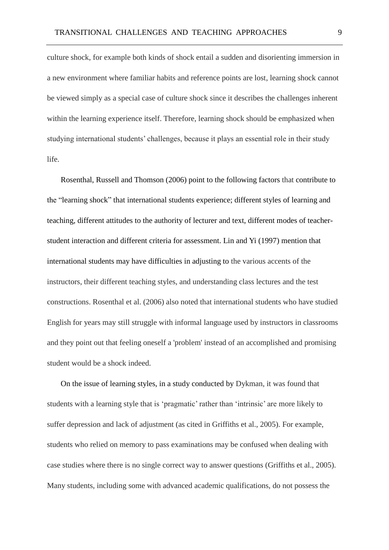culture shock, for example both kinds of shock entail a sudden and disorienting immersion in a new environment where familiar habits and reference points are lost, learning shock cannot be viewed simply as a special case of culture shock since it describes the challenges inherent within the learning experience itself. Therefore, learning shock should be emphasized when studying international students' challenges, because it plays an essential role in their study life.

Rosenthal, Russell and Thomson (2006) point to the following factors that contribute to the "learning shock" that international students experience; different styles of learning and teaching, different attitudes to the authority of lecturer and text, different modes of teacherstudent interaction and different criteria for assessment. Lin and Yi (1997) mention that international students may have difficulties in adjusting to the various accents of the instructors, their different teaching styles, and understanding class lectures and the test constructions. Rosenthal et al. (2006) also noted that international students who have studied English for years may still struggle with informal language used by instructors in classrooms and they point out that feeling oneself a 'problem' instead of an accomplished and promising student would be a shock indeed.

On the issue of learning styles, in a study conducted by Dykman, it was found that students with a learning style that is 'pragmatic' rather than 'intrinsic' are more likely to suffer depression and lack of adjustment (as cited in Griffiths et al., 2005). For example, students who relied on memory to pass examinations may be confused when dealing with case studies where there is no single correct way to answer questions (Griffiths et al., 2005). Many students, including some with advanced academic qualifications, do not possess the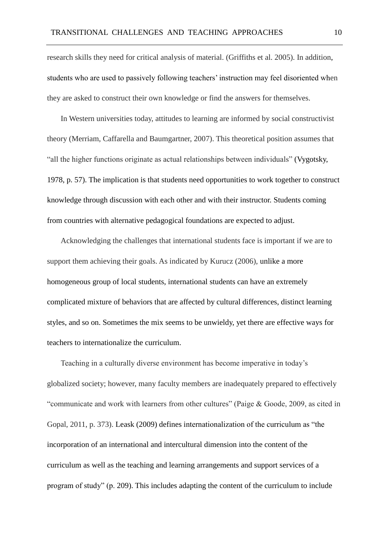research skills they need for critical analysis of material. (Griffiths et al. 2005). In addition, students who are used to passively following teachers' instruction may feel disoriented when they are asked to construct their own knowledge or find the answers for themselves.

In Western universities today, attitudes to learning are informed by social constructivist theory (Merriam, Caffarella and Baumgartner, 2007). This theoretical position assumes that "all the higher functions originate as actual relationships between individuals" (Vygotsky, 1978, p. 57). The implication is that students need opportunities to work together to construct knowledge through discussion with each other and with their instructor. Students coming from countries with alternative pedagogical foundations are expected to adjust.

Acknowledging the challenges that international students face is important if we are to support them achieving their goals. As indicated by Kurucz (2006), unlike a more homogeneous group of local students, international students can have an extremely complicated mixture of behaviors that are affected by cultural differences, distinct learning styles, and so on. Sometimes the mix seems to be unwieldy, yet there are effective ways for teachers to internationalize the curriculum.

Teaching in a culturally diverse environment has become imperative in today's globalized society; however, many faculty members are inadequately prepared to effectively "communicate and work with learners from other cultures" (Paige & Goode, 2009, as cited in Gopal, 2011, p. 373). Leask (2009) defines internationalization of the curriculum as "the incorporation of an international and intercultural dimension into the content of the curriculum as well as the teaching and learning arrangements and support services of a program of study" (p. 209). This includes adapting the content of the curriculum to include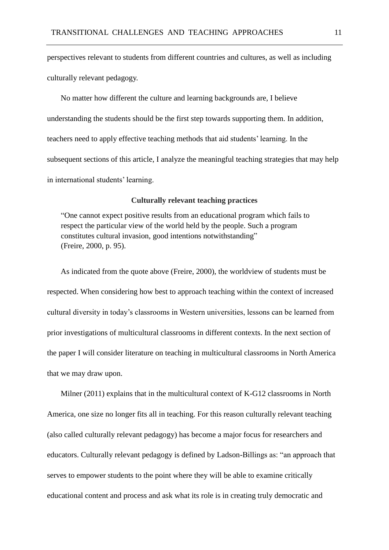perspectives relevant to students from different countries and cultures, as well as including culturally relevant pedagogy.

No matter how different the culture and learning backgrounds are, I believe understanding the students should be the first step towards supporting them. In addition, teachers need to apply effective teaching methods that aid students' learning. In the subsequent sections of this article, I analyze the meaningful teaching strategies that may help in international students' learning.

# **Culturally relevant teaching practices**

"One cannot expect positive results from an educational program which fails to respect the particular view of the world held by the people. Such a program constitutes cultural invasion, good intentions notwithstanding" (Freire, 2000, p. 95).

As indicated from the quote above (Freire, 2000), the worldview of students must be respected. When considering how best to approach teaching within the context of increased cultural diversity in today's classrooms in Western universities, lessons can be learned from prior investigations of multicultural classrooms in different contexts. In the next section of the paper I will consider literature on teaching in multicultural classrooms in North America that we may draw upon.

Milner (2011) explains that in the multicultural context of K-G12 classrooms in North America, one size no longer fits all in teaching. For this reason culturally relevant teaching (also called culturally relevant pedagogy) has become a major focus for researchers and educators. Culturally relevant pedagogy is defined by Ladson-Billings as: "an approach that serves to empower students to the point where they will be able to examine critically educational content and process and ask what its role is in creating truly democratic and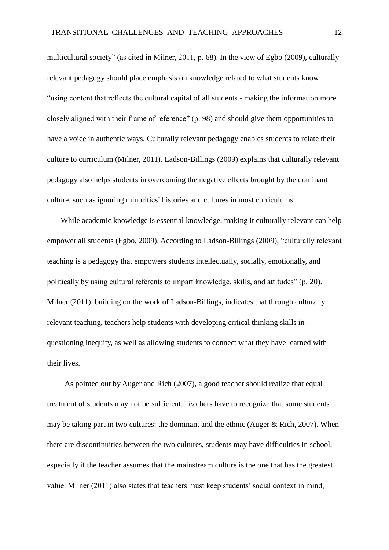multicultural society" (as cited in Milner, 2011, p. 68). In the view of Egbo (2009), culturally relevant pedagogy should place emphasis on knowledge related to what students know: "using content that reflects the cultural capital of all students - making the information more closely aligned with their frame of reference" (p. 98) and should give them opportunities to have a voice in authentic ways. Culturally relevant pedagogy enables students to relate their culture to curriculum (Milner, 2011). Ladson-Billings (2009) explains that culturally relevant pedagogy also helps students in overcoming the negative effects brought by the dominant culture, such as ignoring minorities' histories and cultures in most curriculums.

While academic knowledge is essential knowledge, making it culturally relevant can help empower all students (Egbo, 2009). According to Ladson-Billings (2009), "culturally relevant teaching is a pedagogy that empowers students intellectually, socially, emotionally, and politically by using cultural referents to impart knowledge, skills, and attitudes" (p. 20). Milner (2011), building on the work of Ladson-Billings, indicates that through culturally relevant teaching, teachers help students with developing critical thinking skills in questioning inequity, as well as allowing students to connect what they have learned with their lives.

As pointed out by Auger and Rich (2007), a good teacher should realize that equal treatment of students may not be sufficient. Teachers have to recognize that some students may be taking part in two cultures: the dominant and the ethnic (Auger & Rich, 2007). When there are discontinuities between the two cultures, students may have difficulties in school, especially if the teacher assumes that the mainstream culture is the one that has the greatest value. Milner (2011) also states that teachers must keep students' social context in mind,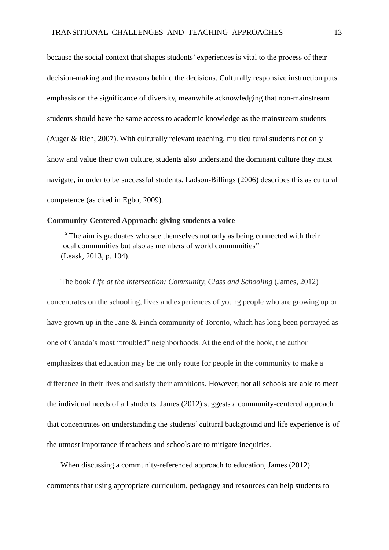because the social context that shapes students' experiences is vital to the process of their decision-making and the reasons behind the decisions. Culturally responsive instruction puts emphasis on the significance of diversity, meanwhile acknowledging that non-mainstream students should have the same access to academic knowledge as the mainstream students (Auger & Rich, 2007). With culturally relevant teaching, multicultural students not only know and value their own culture, students also understand the dominant culture they must navigate, in order to be successful students. Ladson-Billings (2006) describes this as cultural competence (as cited in Egbo, 2009).

# **Community-Centered Approach: giving students a voice**

"The aim is graduates who see themselves not only as being connected with their local communities but also as members of world communities" (Leask, 2013, p. 104).

The book *Life at the Intersection: Community, Class and Schooling* (James, 2012) concentrates on the schooling, lives and experiences of young people who are growing up or have grown up in the Jane & Finch community of Toronto, which has long been portrayed as one of Canada's most "troubled" neighborhoods. At the end of the book, the author emphasizes that education may be the only route for people in the community to make a difference in their lives and satisfy their ambitions. However, not all schools are able to meet the individual needs of all students. James (2012) suggests a community-centered approach that concentrates on understanding the students' cultural background and life experience is of the utmost importance if teachers and schools are to mitigate inequities.

When discussing a community-referenced approach to education, James (2012) comments that using appropriate curriculum, pedagogy and resources can help students to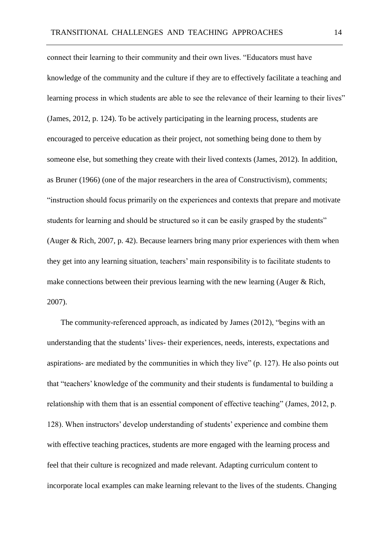connect their learning to their community and their own lives. "Educators must have knowledge of the community and the culture if they are to effectively facilitate a teaching and learning process in which students are able to see the relevance of their learning to their lives" (James, 2012, p. 124). To be actively participating in the learning process, students are encouraged to perceive education as their project, not something being done to them by someone else, but something they create with their lived contexts (James, 2012). In addition, as Bruner (1966) (one of the major researchers in the area of Constructivism), comments; "instruction should focus primarily on the experiences and contexts that prepare and motivate students for learning and should be structured so it can be easily grasped by the students" (Auger & Rich, 2007, p. 42). Because learners bring many prior experiences with them when they get into any learning situation, teachers' main responsibility is to facilitate students to make connections between their previous learning with the new learning (Auger & Rich, 2007).

The community-referenced approach, as indicated by James (2012), "begins with an understanding that the students' lives- their experiences, needs, interests, expectations and aspirations- are mediated by the communities in which they live" (p. 127). He also points out that "teachers' knowledge of the community and their students is fundamental to building a relationship with them that is an essential component of effective teaching" (James, 2012, p. 128). When instructors' develop understanding of students' experience and combine them with effective teaching practices, students are more engaged with the learning process and feel that their culture is recognized and made relevant. Adapting curriculum content to incorporate local examples can make learning relevant to the lives of the students. Changing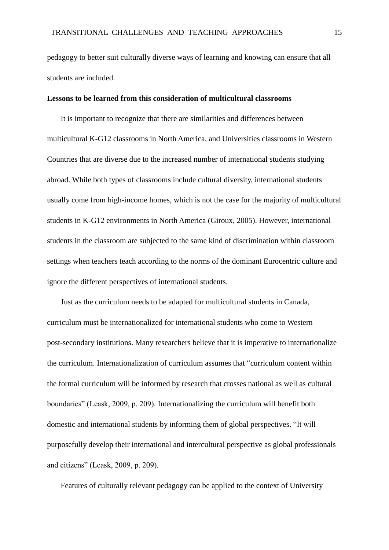pedagogy to better suit culturally diverse ways of learning and knowing can ensure that all students are included.

# **Lessons to be learned from this consideration of multicultural classrooms**

It is important to recognize that there are similarities and differences between multicultural K-G12 classrooms in North America, and Universities classrooms in Western Countries that are diverse due to the increased number of international students studying abroad. While both types of classrooms include cultural diversity, international students usually come from high-income homes, which is not the case for the majority of multicultural students in K-G12 environments in North America (Giroux, 2005). However, international students in the classroom are subjected to the same kind of discrimination within classroom settings when teachers teach according to the norms of the dominant Eurocentric culture and ignore the different perspectives of international students.

Just as the curriculum needs to be adapted for multicultural students in Canada, curriculum must be internationalized for international students who come to Western post-secondary institutions. Many researchers believe that it is imperative to internationalize the curriculum. Internationalization of curriculum assumes that "curriculum content within the formal curriculum will be informed by research that crosses national as well as cultural boundaries" (Leask, 2009, p. 209). Internationalizing the curriculum will benefit both domestic and international students by informing them of global perspectives. "It will purposefully develop their international and intercultural perspective as global professionals and citizens" (Leask, 2009, p. 209).

Features of culturally relevant pedagogy can be applied to the context of University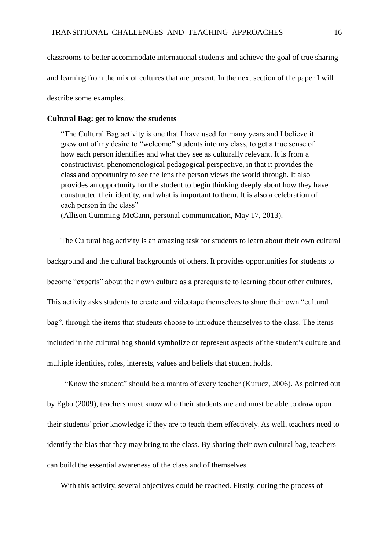classrooms to better accommodate international students and achieve the goal of true sharing and learning from the mix of cultures that are present. In the next section of the paper I will

describe some examples.

# **Cultural Bag: get to know the students**

"The Cultural Bag activity is one that I have used for many years and I believe it grew out of my desire to "welcome" students into my class, to get a true sense of how each person identifies and what they see as culturally relevant. It is from a constructivist, phenomenological pedagogical perspective, in that it provides the class and opportunity to see the lens the person views the world through. It also provides an opportunity for the student to begin thinking deeply about how they have constructed their identity, and what is important to them. It is also a celebration of each person in the class"

(Allison Cumming-McCann, personal communication, May 17, 2013).

The Cultural bag activity is an amazing task for students to learn about their own cultural background and the cultural backgrounds of others. It provides opportunities for students to become "experts" about their own culture as a prerequisite to learning about other cultures. This activity asks students to create and videotape themselves to share their own "cultural bag", through the items that students choose to introduce themselves to the class. The items included in the cultural bag should symbolize or represent aspects of the student's culture and multiple identities, roles, interests, values and beliefs that student holds.

"Know the student" should be a mantra of every teacher (Kurucz, 2006). As pointed out by Egbo (2009), teachers must know who their students are and must be able to draw upon their students' prior knowledge if they are to teach them effectively. As well, teachers need to identify the bias that they may bring to the class. By sharing their own cultural bag, teachers can build the essential awareness of the class and of themselves.

With this activity, several objectives could be reached. Firstly, during the process of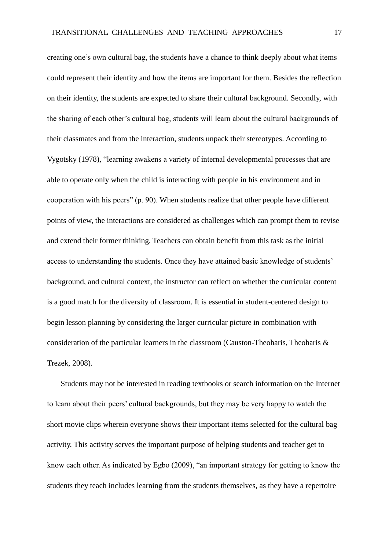creating one's own cultural bag, the students have a chance to think deeply about what items could represent their identity and how the items are important for them. Besides the reflection on their identity, the students are expected to share their cultural background. Secondly, with the sharing of each other's cultural bag, students will learn about the cultural backgrounds of their classmates and from the interaction, students unpack their stereotypes. According to Vygotsky (1978), "learning awakens a variety of internal developmental processes that are able to operate only when the child is interacting with people in his environment and in cooperation with his peers" (p. 90). When students realize that other people have different points of view, the interactions are considered as challenges which can prompt them to revise and extend their former thinking. Teachers can obtain benefit from this task as the initial access to understanding the students. Once they have attained basic knowledge of students' background, and cultural context, the instructor can reflect on whether the curricular content is a good match for the diversity of classroom. It is essential in student-centered design to begin lesson planning by considering the larger curricular picture in combination with consideration of the particular learners in the classroom (Causton-Theoharis, Theoharis & Trezek, 2008).

Students may not be interested in reading textbooks or search information on the Internet to learn about their peers' cultural backgrounds, but they may be very happy to watch the short movie clips wherein everyone shows their important items selected for the cultural bag activity. This activity serves the important purpose of helping students and teacher get to know each other. As indicated by Egbo (2009), "an important strategy for getting to know the students they teach includes learning from the students themselves, as they have a repertoire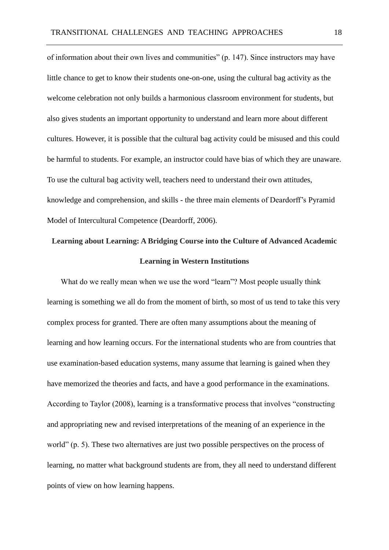of information about their own lives and communities" (p. 147). Since instructors may have little chance to get to know their students one-on-one, using the cultural bag activity as the welcome celebration not only builds a harmonious classroom environment for students, but also gives students an important opportunity to understand and learn more about different cultures. However, it is possible that the cultural bag activity could be misused and this could be harmful to students. For example, an instructor could have bias of which they are unaware. To use the cultural bag activity well, teachers need to understand their own attitudes, knowledge and comprehension, and skills - the three main elements of Deardorff's Pyramid Model of Intercultural Competence (Deardorff, 2006).

# **Learning about Learning: A Bridging Course into the Culture of Advanced Academic Learning in Western Institutions**

What do we really mean when we use the word "learn"? Most people usually think learning is something we all do from the moment of birth, so most of us tend to take this very complex process for granted. There are often many assumptions about the meaning of learning and how learning occurs. For the international students who are from countries that use examination-based education systems, many assume that learning is gained when they have memorized the theories and facts, and have a good performance in the examinations. According to Taylor (2008), learning is a transformative process that involves "constructing and appropriating new and revised interpretations of the meaning of an experience in the world" (p. 5). These two alternatives are just two possible perspectives on the process of learning, no matter what background students are from, they all need to understand different points of view on how learning happens.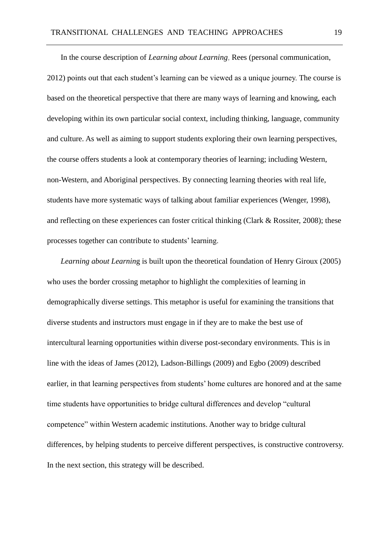In the course description of *Learning about Learning*, Rees (personal communication, 2012) points out that each student's learning can be viewed as a unique journey. The course is based on the theoretical perspective that there are many ways of learning and knowing, each developing within its own particular social context, including thinking, language, community and culture. As well as aiming to support students exploring their own learning perspectives, the course offers students a look at contemporary theories of learning; including Western, non-Western, and Aboriginal perspectives. By connecting learning theories with real life, students have more systematic ways of talking about familiar experiences (Wenger, 1998), and reflecting on these experiences can foster critical thinking (Clark & Rossiter, 2008); these processes together can contribute to students' learning.

*Learning about Learnin*g is built upon the theoretical foundation of Henry Giroux (2005) who uses the border crossing metaphor to highlight the complexities of learning in demographically diverse settings. This metaphor is useful for examining the transitions that diverse students and instructors must engage in if they are to make the best use of intercultural learning opportunities within diverse post-secondary environments. This is in line with the ideas of James (2012), Ladson-Billings (2009) and Egbo (2009) described earlier, in that learning perspectives from students' home cultures are honored and at the same time students have opportunities to bridge cultural differences and develop "cultural competence" within Western academic institutions. Another way to bridge cultural differences, by helping students to perceive different perspectives, is constructive controversy. In the next section, this strategy will be described.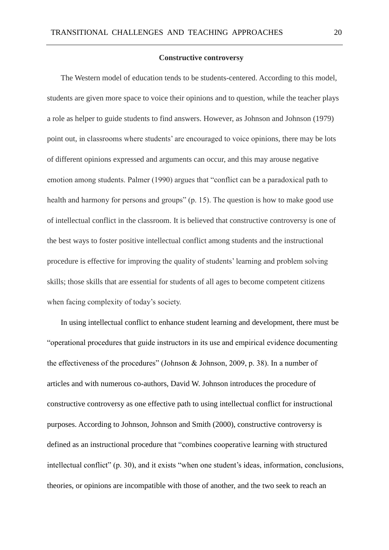#### **Constructive controversy**

The Western model of education tends to be students-centered. According to this model, students are given more space to voice their opinions and to question, while the teacher plays a role as helper to guide students to find answers. However, as Johnson and Johnson (1979) point out, in classrooms where students' are encouraged to voice opinions, there may be lots of different opinions expressed and arguments can occur, and this may arouse negative emotion among students. Palmer (1990) argues that "conflict can be a paradoxical path to health and harmony for persons and groups" (p. 15). The question is how to make good use of intellectual conflict in the classroom. It is believed that constructive controversy is one of the best ways to foster positive intellectual conflict among students and the instructional procedure is effective for improving the quality of students' learning and problem solving skills; those skills that are essential for students of all ages to become competent citizens when facing complexity of today's society.

In using intellectual conflict to enhance student learning and development, there must be "operational procedures that guide instructors in its use and empirical evidence documenting the effectiveness of the procedures" (Johnson & Johnson, 2009, p. 38). In a number of articles and with numerous co-authors, David W. Johnson introduces the procedure of constructive controversy as one effective path to using intellectual conflict for instructional purposes. According to Johnson, Johnson and Smith (2000), constructive controversy is defined as an instructional procedure that "combines cooperative learning with structured intellectual conflict" (p. 30), and it exists "when one student's ideas, information, conclusions, theories, or opinions are incompatible with those of another, and the two seek to reach an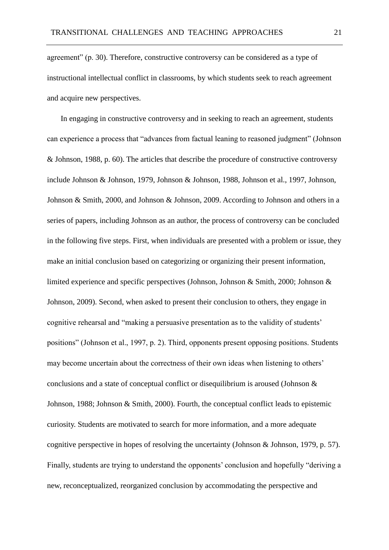agreement" (p. 30). Therefore, constructive controversy can be considered as a type of instructional intellectual conflict in classrooms, by which students seek to reach agreement and acquire new perspectives.

In engaging in constructive controversy and in seeking to reach an agreement, students can experience a process that "advances from factual leaning to reasoned judgment" (Johnson & Johnson, 1988, p. 60). The articles that describe the procedure of constructive controversy include Johnson & Johnson, 1979, Johnson & Johnson, 1988, Johnson et al., 1997, Johnson, Johnson & Smith, 2000, and Johnson & Johnson, 2009. According to Johnson and others in a series of papers, including Johnson as an author, the process of controversy can be concluded in the following five steps. First, when individuals are presented with a problem or issue, they make an initial conclusion based on categorizing or organizing their present information, limited experience and specific perspectives (Johnson, Johnson & Smith, 2000; Johnson & Johnson, 2009). Second, when asked to present their conclusion to others, they engage in cognitive rehearsal and "making a persuasive presentation as to the validity of students' positions" (Johnson et al., 1997, p. 2). Third, opponents present opposing positions. Students may become uncertain about the correctness of their own ideas when listening to others' conclusions and a state of conceptual conflict or disequilibrium is aroused (Johnson & Johnson, 1988; Johnson & Smith, 2000). Fourth, the conceptual conflict leads to epistemic curiosity. Students are motivated to search for more information, and a more adequate cognitive perspective in hopes of resolving the uncertainty (Johnson & Johnson, 1979, p. 57). Finally, students are trying to understand the opponents' conclusion and hopefully "deriving a new, reconceptualized, reorganized conclusion by accommodating the perspective and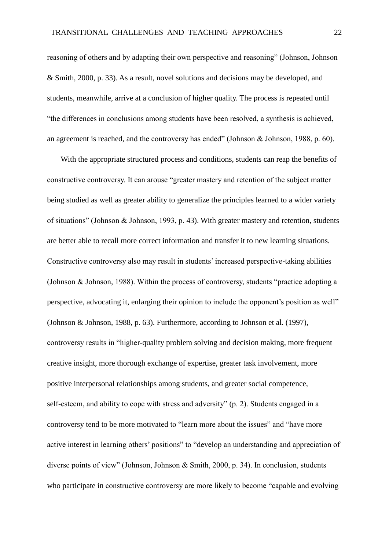reasoning of others and by adapting their own perspective and reasoning" (Johnson, Johnson & Smith, 2000, p. 33). As a result, novel solutions and decisions may be developed, and students, meanwhile, arrive at a conclusion of higher quality. The process is repeated until "the differences in conclusions among students have been resolved, a synthesis is achieved, an agreement is reached, and the controversy has ended" (Johnson & Johnson, 1988, p. 60).

With the appropriate structured process and conditions, students can reap the benefits of constructive controversy. It can arouse "greater mastery and retention of the subject matter being studied as well as greater ability to generalize the principles learned to a wider variety of situations" (Johnson & Johnson, 1993, p. 43). With greater mastery and retention, students are better able to recall more correct information and transfer it to new learning situations. Constructive controversy also may result in students' increased perspective-taking abilities (Johnson & Johnson, 1988). Within the process of controversy, students "practice adopting a perspective, advocating it, enlarging their opinion to include the opponent's position as well" (Johnson & Johnson, 1988, p. 63). Furthermore, according to Johnson et al. (1997), controversy results in "higher-quality problem solving and decision making, more frequent creative insight, more thorough exchange of expertise, greater task involvement, more positive interpersonal relationships among students, and greater social competence, self-esteem, and ability to cope with stress and adversity" (p. 2). Students engaged in a controversy tend to be more motivated to "learn more about the issues" and "have more active interest in learning others' positions" to "develop an understanding and appreciation of diverse points of view" (Johnson, Johnson & Smith, 2000, p. 34). In conclusion, students who participate in constructive controversy are more likely to become "capable and evolving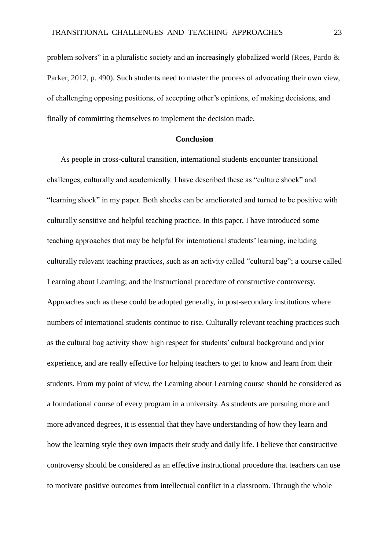problem solvers" in a pluralistic society and an increasingly globalized world (Rees, Pardo & Parker, 2012, p. 490). Such students need to master the process of advocating their own view, of challenging opposing positions, of accepting other's opinions, of making decisions, and finally of committing themselves to implement the decision made.

# **Conclusion**

As people in cross-cultural transition, international students encounter transitional challenges, culturally and academically. I have described these as "culture shock" and "learning shock" in my paper. Both shocks can be ameliorated and turned to be positive with culturally sensitive and helpful teaching practice. In this paper, I have introduced some teaching approaches that may be helpful for international students' learning, including culturally relevant teaching practices, such as an activity called "cultural bag"; a course called Learning about Learning; and the instructional procedure of constructive controversy. Approaches such as these could be adopted generally, in post-secondary institutions where numbers of international students continue to rise. Culturally relevant teaching practices such as the cultural bag activity show high respect for students' cultural background and prior experience, and are really effective for helping teachers to get to know and learn from their students. From my point of view, the Learning about Learning course should be considered as a foundational course of every program in a university. As students are pursuing more and more advanced degrees, it is essential that they have understanding of how they learn and how the learning style they own impacts their study and daily life. I believe that constructive controversy should be considered as an effective instructional procedure that teachers can use to motivate positive outcomes from intellectual conflict in a classroom. Through the whole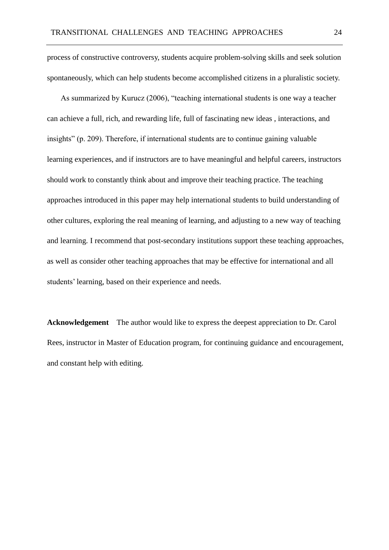process of constructive controversy, students acquire problem-solving skills and seek solution spontaneously, which can help students become accomplished citizens in a pluralistic society.

As summarized by Kurucz (2006), "teaching international students is one way a teacher can achieve a full, rich, and rewarding life, full of fascinating new ideas , interactions, and insights" (p. 209). Therefore, if international students are to continue gaining valuable learning experiences, and if instructors are to have meaningful and helpful careers, instructors should work to constantly think about and improve their teaching practice. The teaching approaches introduced in this paper may help international students to build understanding of other cultures, exploring the real meaning of learning, and adjusting to a new way of teaching and learning. I recommend that post-secondary institutions support these teaching approaches, as well as consider other teaching approaches that may be effective for international and all students' learning, based on their experience and needs.

**Acknowledgement** The author would like to express the deepest appreciation to Dr. Carol Rees, instructor in Master of Education program, for continuing guidance and encouragement, and constant help with editing.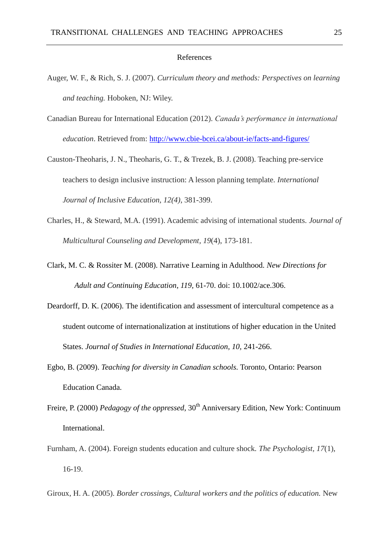#### References

- Auger, W. F., & Rich, S. J. (2007). *Curriculum theory and methods: Perspectives on learning and teaching.* Hoboken, NJ: Wiley.
- Canadian Bureau for International Education (2012). *Canada's performance in international education*. Retrieved from:<http://www.cbie-bcei.ca/about-ie/facts-and-figures/>
- Causton-Theoharis, J. N., Theoharis, G. T., & Trezek, B. J. (2008). Teaching pre-service teachers to design inclusive instruction: A lesson planning template. *International Journal of Inclusive Education, 12(4)*, 381-399.
- Charles, H., & Steward, M.A. (1991). Academic advising of international students. *Journal of Multicultural Counseling and Development, 19*(4), 173-181.
- Clark, M. C. & Rossiter M. (2008). Narrative Learning in Adulthood. *New Directions for Adult and Continuing Education*, *119,* 61-70. doi: 10.1002/ace.306.
- Deardorff, D. K. (2006). The identification and assessment of intercultural competence as a student outcome of internationalization at institutions of higher education in the United States. *Journal of Studies in International Education, 10,* 241-266.
- Egbo, B. (2009). *Teaching for diversity in Canadian schools.* Toronto, Ontario: Pearson Education Canada.
- Freire, P. (2000) *Pedagogy of the oppressed*, 30<sup>th</sup> Anniversary Edition, New York: Continuum International.
- Furnham, A. (2004). Foreign students education and culture shock*. The Psychologist, 17*(1), 16-19.
- Giroux, H. A. (2005). *Border crossings, Cultural workers and the politics of education.* New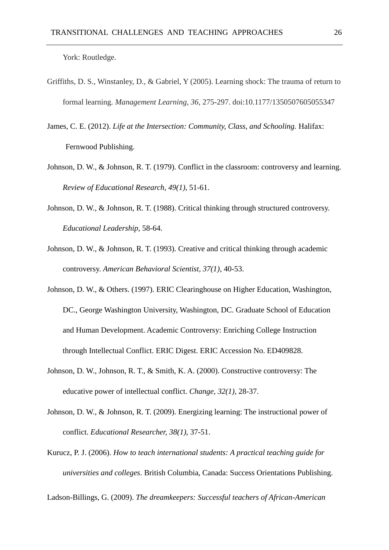York: Routledge.

- Griffiths, D. S., Winstanley, D., & Gabriel, Y (2005). Learning shock: The trauma of return to formal learning. *Management Learning, 36,* 275-297. doi:10.1177/1350507605055347
- James, C. E. (2012). *Life at the Intersection: Community, Class, and Schooling.* Halifax: Fernwood Publishing.
- Johnson, D. W., & Johnson, R. T. (1979). Conflict in the classroom: controversy and learning. *Review of Educational Research, 49(1)*, 51-61.
- Johnson, D. W., & Johnson, R. T. (1988). Critical thinking through structured controversy. *Educational Leadership*, 58-64.
- Johnson, D. W., & Johnson, R. T. (1993). Creative and critical thinking through academic controversy. *American Behavioral Scientist, 37(1)*, 40-53.
- Johnson, D. W., & Others. (1997). ERIC Clearinghouse on Higher Education, Washington, DC., George Washington University, Washington, DC. Graduate School of Education and Human Development. Academic Controversy: Enriching College Instruction through Intellectual Conflict. ERIC Digest. ERIC Accession No. ED409828.
- Johnson, D. W., Johnson, R. T., & Smith, K. A. (2000). Constructive controversy: The educative power of intellectual conflict. *Change, 32(1)*, 28-37.
- Johnson, D. W., & Johnson, R. T. (2009). Energizing learning: The instructional power of conflict. *Educational Researcher, 38(1),* 37-51.
- Kurucz, P. J. (2006). *How to teach international students: A practical teaching guide for universities and colleges*. British Columbia, Canada: Success Orientations Publishing.

Ladson-Billings, G. (2009). *The dreamkeepers: Successful teachers of African-American*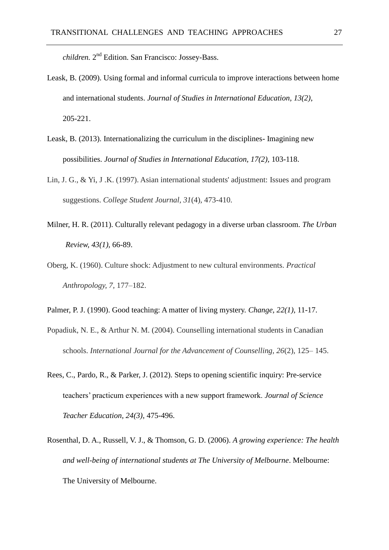children. 2<sup>nd</sup> Edition. San Francisco: Jossey-Bass.

- Leask, B. (2009). Using formal and informal curricula to improve interactions between home and international students. *Journal of Studies in International Education, 13(2)*, 205-221.
- Leask, B. (2013). Internationalizing the curriculum in the disciplines- Imagining new possibilities. *Journal of Studies in International Education, 17(2),* 103-118.
- Lin, J. G., & Yi, J .K. (1997). Asian international students' adjustment: Issues and program suggestions. *College Student Journal, 31*(4)*,* 473-410.
- Milner, H. R. (2011). Culturally relevant pedagogy in a diverse urban classroom. *The Urban Review, 43(1),* 66-89.
- Oberg, K. (1960). Culture shock: Adjustment to new cultural environments. *Practical Anthropology, 7,* 177–182.
- Palmer, P. J. (1990). Good teaching: A matter of living mystery. *Change, 22(1)*, 11-17.
- Popadiuk, N. E., & Arthur N. M. (2004). Counselling international students in Canadian schools. *International Journal for the Advancement of Counselling, 26*(2)*,* 125– 145.
- Rees, C., Pardo, R., & Parker, J. (2012). Steps to opening scientific inquiry: Pre-service teachers' practicum experiences with a new support framework. *Journal of Science Teacher Education, 24(3)*, 475-496.
- Rosenthal, D. A., Russell, V. J., & Thomson, G. D. (2006). *A growing experience: The health and well-being of international students at The University of Melbourne*. Melbourne: The University of Melbourne.